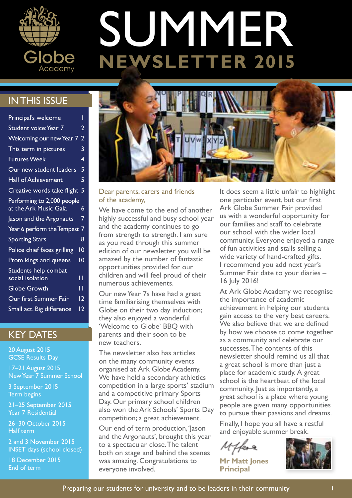

# **SUMMER**<br>NEWSLETTER 2015

# IN THIS ISSUE

| Principal's welcome                                 |                |
|-----------------------------------------------------|----------------|
| Student voice: Year 7                               | 2              |
| Welcoming our new Year 7                            | $\overline{2}$ |
| This term in pictures                               | 3              |
| <b>Futures Week</b>                                 | 4              |
| Our new student leaders                             | 5              |
| <b>Hall of Achievement</b>                          | 5              |
| Creative words take flight                          | 5              |
| Performing to 2,000 people<br>at the Ark Music Gala | 6              |
| Jason and the Argonauts                             | 7              |
| Year 6 perform the Tempest                          | 7              |
| <b>Sporting Stars</b>                               | 8              |
| Police chief faces grilling                         | 10             |
| Prom kings and queens                               | ۱0             |
| Students help combat                                |                |
| social isolation                                    | -1             |
| <b>Globe Growth</b>                                 | ۱ī             |
| Our first Summer Fair                               | 12             |
| Small act. Big difference                           | 12             |

## KEY DATES

20 August 2015 GCSE Results Day

17–21 August 2015 New Year 7 Summer School

3 September 2015 Term begins

21–25 September 2015 Year 7 Residential

26–30 October 2015 Half term

2 and 3 November 2015 INSET days (school closed)

18 December 2015 End of term



#### Dear parents, carers and friends of the academy,

We have come to the end of another highly successful and busy school year and the academy continues to go from strength to strength. I am sure as you read through this summer edition of our newsletter you will be amazed by the number of fantastic opportunities provided for our children and will feel proud of their numerous achievements.

Our new Year 7s have had a great time familiarising themselves with Globe on their two day induction; they also enjoyed a wonderful 'Welcome to Globe' BBQ with parents and their soon to be new teachers.

The newsletter also has articles on the many community events organised at Ark Globe Academy. We have held a secondary athletics competition in a large sports' stadium and a competitive primary Sports Day. Our primary school children also won the Ark Schools' Sports Day competition; a great achievement.

Our end of term production, 'Jason and the Argonauts', brought this year to a spectacular close. The talent both on stage and behind the scenes was amazing. Congratulations to everyone involved.

It does seem a little unfair to highlight one particular event, but our first Ark Globe Summer Fair provided us with a wonderful opportunity for our families and staff to celebrate our school with the wider local community. Everyone enjoyed a range of fun activities and stalls selling a wide variety of hand-crafted gifts. I recommend you add next year's Summer Fair date to your diaries – 16 July 2016!

At Ark Globe Academy we recognise the importance of academic achievement in helping our students gain access to the very best careers. We also believe that we are defined by how we choose to come together as a community and celebrate our successes. The contents of this newsletter should remind us all that a great school is more than just a place for academic study. A great school is the heartbeat of the local community. Just as importantly, a great school is a place where young people are given many opportunities to pursue their passions and dreams.

Finally, I hope you all have a restful and enjoyable summer break.

**Mr Matt Jones Principal**

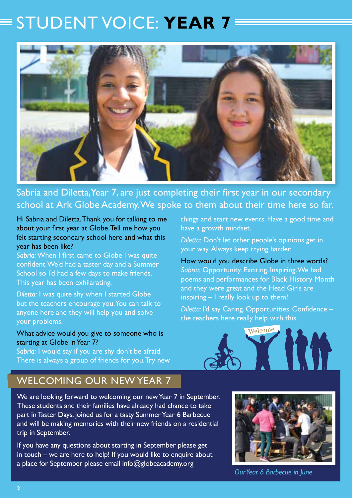# STUDENT VOICE: **YEAR 7**



Sabria and Diletta, Year 7, are just completing their first year in our secondary school at Ark Globe Academy. We spoke to them about their time here so far.

Hi Sabria and Diletta. Thank you for talking to me about your first year at Globe. Tell me how you felt starting secondary school here and what this year has been like?

*Sabria:* When I first came to Globe I was quite confident. We'd had a taster day and a Summer School so I'd had a few days to make friends. This year has been exhilarating.

*Diletta:* I was quite shy when I started Globe but the teachers encourage you. You can talk to anyone here and they will help you and solve your problems.

#### What advice would you give to someone who is starting at Globe in Year 7?

Sabria: I would say if you are shy don't be afraid. There is always a group of friends for you. Try new things and start new events. Have a good time and have a growth mindset.

*Diletta:* Don't let other people's opinions get in your way. Always keep trying harder.

How would you describe Globe in three words? *Sabria:* Opportunity. Exciting. Inspiring. We had poems and performances for Black History Month and they were great and the Head Girls are inspiring – I really look up to them!

*Diletta:* I'd say Caring. Opportunities. Confidence – the teachers here really help with this.



# WELCOMING OUR NEW YEAR 7

We are looking forward to welcoming our new Year 7 in September. These students and their families have already had chance to take part in Taster Days, joined us for a tasty Summer Year 6 Barbecue and will be making memories with their new friends on a residential trip in September.

If you have any questions about starting in September please get in touch – we are here to help! If you would like to enquire about a place for September please email info@globeacademy.org



*Our Year 6 Barbecue in June*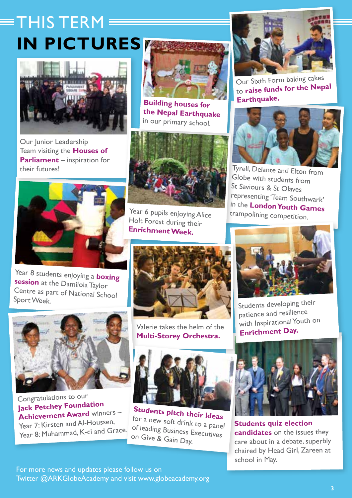# $\equiv$ THIS TERM **IN PICTURES**



Our Junior Leadership Team visiting the **Houses of Parliament** – inspiration for



**Building houses for the Nepal Earthquake** in our primary school.



Year 6 pupils enjoying Alice Holt Forest during their **Enrichment Week.**



Our Sixth Form baking cakes to **raise funds for the Nepa<sup>l</sup> Earthquake.**



Globe with students from St Saviours & St Olaves representing 'Team Southwark' in the **London Youth Games**  trampolining competition.



Year 8 students enjoying a **boxing session** at the Damilola Taylor Centre as part of National School Sport Week.



Congratulations to our **Jack Petchey Foundation Achievement Award** winners – Year 7: Kirsten and Al-Houssen. Year 8: Muhammad, K-ci and Grace.



Valerie takes the helm of the **Multi-Storey Orchestra.**



Students developing their patience and resilience with Inspirational Youth on **Enrichment Day.**



**Students pitch their ideas** for a new soft drink to a panel of leading Business Executives on Give & Gain Day.



**Students quiz election candidates** on the issues they care about in a debate, superbly chaired by Head Girl, Zareen at school in May.

For more news and updates please follow us on Twitter @ARKGlobeAcademy and visit www.globeacademy.org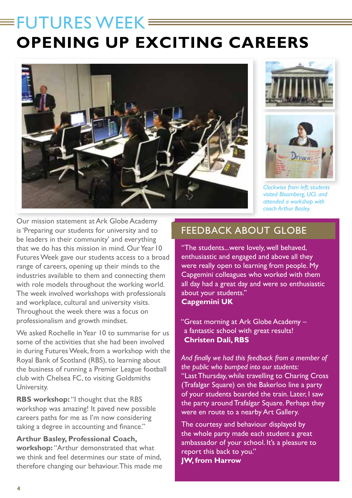# $=$  FUTURES WEEK $=$ **OPENING UP EXCITING CAREERS**







*Clockwise from left: students visited Bloomberg, UCL and attended a workshop with coach Arthur Basley.*

Our mission statement at Ark Globe Academy is 'Preparing our students for university and to be leaders in their community' and everything that we do has this mission in mind. Our Year 10 Futures Week gave our students access to a broad range of careers, opening up their minds to the industries available to them and connecting them with role models throughout the working world. The week involved workshops with professionals and workplace, cultural and university visits. Throughout the week there was a focus on professionalism and growth mindset.

We asked Rochelle in Year 10 to summarise for us some of the activities that she had been involved in during Futures Week, from a workshop with the Royal Bank of Scotland (RBS), to learning about the business of running a Premier League football club with Chelsea FC, to visiting Goldsmiths University.

**RBS workshop:** "I thought that the RBS workshop was amazing! It paved new possible careers paths for me as I'm now considering taking a degree in accounting and finance."

**Arthur Basley, Professional Coach, workshop:** "Arthur demonstrated that what we think and feel determines our state of mind, therefore changing our behaviour. This made me

# FFEDBACK ABOUT GLOBE

"The students...were lovely, well behaved, enthusiastic and engaged and above all they were really open to learning from people. My Capgemini colleagues who worked with them all day had a great day and were so enthusiastic about your students." **Capgemini UK**

"Great morning at Ark Globe Academy – a fantastic school with great results! **Christen Dali, RBS**

*And finally we had this feedback from a member of the public who bumped into our students:* "Last Thursday, while travelling to Charing Cross (Trafalgar Square) on the Bakerloo line a party of your students boarded the train. Later, I saw the party around Trafalgar Square. Perhaps they were en route to a nearby Art Gallery.

The courtesy and behaviour displayed by the whole party made each student a great ambassador of your school. It's a pleasure to report this back to you." **JW, from Harrow**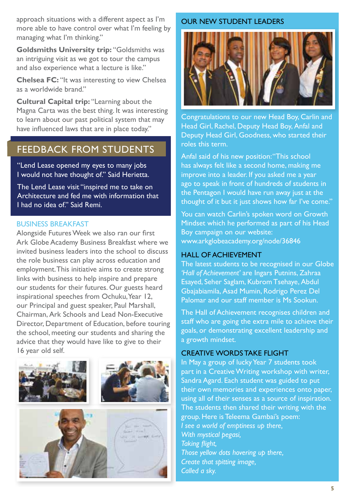approach situations with a different aspect as I'm more able to have control over what I'm feeling by managing what I'm thinking."

**Goldsmiths University trip:** "Goldsmiths was an intriguing visit as we got to tour the campus and also experience what a lecture is like."

**Chelsea FC:** "It was interesting to view Chelsea as a worldwide brand."

**Cultural Capital trip:** "Learning about the Magna Carta was the best thing. It was interesting to learn about our past political system that may have influenced laws that are in place today."

## FEEDBACK FROM STUDENTS

"Lend Lease opened my eyes to many jobs I would not have thought of." Said Herietta.

The Lend Lease visit "inspired me to take on Architecture and fed me with information that I had no idea of" Said Remi

#### BUSINESS BREAKFAST

Alongside Futures Week we also ran our first Ark Globe Academy Business Breakfast where we invited business leaders into the school to discuss the role business can play across education and employment. This initiative aims to create strong links with business to help inspire and prepare our students for their futures. Our guests heard inspirational speeches from Ochuku, Year 12, our Principal and guest speaker, Paul Marshall, Chairman, Ark Schools and Lead Non-Executive Director, Department of Education, before touring the school, meeting our students and sharing the advice that they would have like to give to their 16 year old self.





#### OUR NEW STUDENT LEADERS



Congratulations to our new Head Boy, Carlin and Head Girl, Rachel, Deputy Head Boy, Anfal and Deputy Head Girl, Goodness, who started their roles this term.

Anfal said of his new position: "This school has always felt like a second home, making me improve into a leader. If you asked me a year ago to speak in front of hundreds of students in the Pentagon I would have run away just at the thought of it but it just shows how far I've come."

You can watch Carlin's spoken word on Growth Mindset which he performed as part of his Head Boy campaign on our website: www.arkglobeacademy.org/node/36846

#### HALL OF ACHIEVEMENT

The latest students to be recognised in our Globe *'Hall of Achievement'* are Ingars Putnins, Zahraa Esayed, Seher Saglam, Kubrom Tsehaye, Abdul Gbajabiamila, Asad Mumin, Rodrigo Perez Del Palomar and our staff member is Ms Sookun.

The Hall of Achievement recognises children and staff who are going the extra mile to achieve their goals, or demonstrating excellent leadership and a growth mindset.

### CREATIVE WORDS TAKE FLIGHT

In May a group of lucky Year 7 students took part in a Creative Writing workshop with writer, Sandra Agard. Each student was guided to put their own memories and experiences onto paper, using all of their senses as a source of inspiration. The students then shared their writing with the group. Here is Teleema Gambai's poem: *I see a world of emptiness up there, With mystical pegasi, Taking flight, Those yellow dots hovering up there, Create that spitting image, Called a sky.*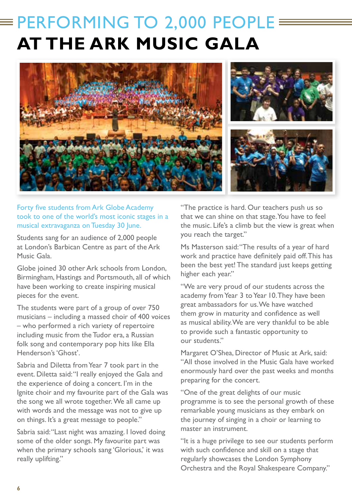# $\equiv$  PERFORMING TO 2,000 PEOPLE  $\equiv$ **AT THE ARK MUSIC GALA**



### Forty five students from Ark Globe Academy took to one of the world's most iconic stages in a musical extravaganza on Tuesday 30 June.

Students sang for an audience of 2,000 people at London's Barbican Centre as part of the Ark Music Gala.

Globe joined 30 other Ark schools from London, Birmingham, Hastings and Portsmouth, all of which have been working to create inspiring musical pieces for the event.

The students were part of a group of over 750 musicians – including a massed choir of 400 voices – who performed a rich variety of repertoire including music from the Tudor era, a Russian folk song and contemporary pop hits like Ella Henderson's 'Ghost'.

Sabria and Diletta from Year 7 took part in the event. Diletta said: "I really enjoyed the Gala and the experience of doing a concert. I'm in the Ignite choir and my favourite part of the Gala was the song we all wrote together. We all came up with words and the message was not to give up on things. It's a great message to people."

Sabria said: "Last night was amazing. I loved doing some of the older songs. My favourite part was when the primary schools sang 'Glorious,' it was really uplifting."

"The practice is hard. Our teachers push us so that we can shine on that stage. You have to feel the music. Life's a climb but the view is great when you reach the target."

Ms Masterson said: "The results of a year of hard work and practice have definitely paid off. This has been the best yet! The standard just keeps getting higher each year."

"We are very proud of our students across the academy from Year 3 to Year 10. They have been great ambassadors for us. We have watched them grow in maturity and confidence as well as musical ability. We are very thankful to be able to provide such a fantastic opportunity to our students."

Margaret O'Shea, Director of Music at Ark, said: "All those involved in the Music Gala have worked enormously hard over the past weeks and months preparing for the concert.

"One of the great delights of our music programme is to see the personal growth of these remarkable young musicians as they embark on the journey of singing in a choir or learning to master an instrument.

"It is a huge privilege to see our students perform with such confidence and skill on a stage that regularly showcases the London Symphony Orchestra and the Royal Shakespeare Company."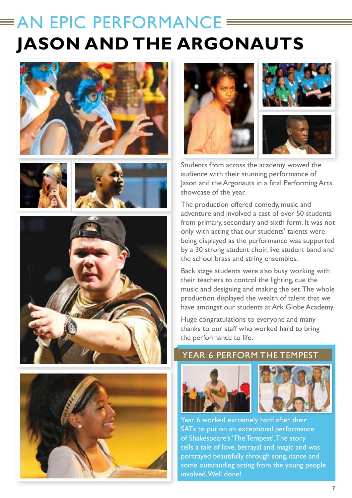# $\equiv$  AN EPIC PERFORMANCE  $\equiv$ **JASON AND THE ARGONAUTS**













Students from across the academy wowed the audience with their stunning performance of Jason and the Argonauts in a final Performing Arts showcase of the year.

The production offered comedy, music and adventure and involved a cast of over 50 students from primary, secondary and sixth form. It was not only with acting that our students' talents were being displayed as the performance was supported by a 30 strong student choir, live student band and the school brass and string ensembles.

Back stage students were also busy working with their teachers to control the lighting, cue the music and designing and making the set. The whole production displayed the wealth of talent that we have amongst our students at Ark Globe Academy.

Huge congratulations to everyone and many thanks to our staff who worked hard to bring the performance to life.

## YEAR 6 PERFORM THE TEMPEST





Year 6 worked extremely hard after their SATs to put on an exceptional performance of Shakespeare's 'The Tempest'. The story tells a tale of love, betrayal and magic and was portrayed beautifully through song, dance and some outstanding acting from the young people involved. Well done!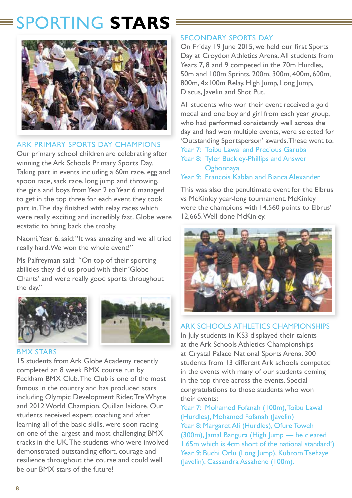# SPORTING **STARS**



## ARK PRIMARY SPORTS DAY CHAMPIONS

Our primary school children are celebrating after winning the Ark Schools Primary Sports Day. Taking part in events including a 60m race, egg and spoon race, sack race, long jump and throwing, the girls and boys from Year 2 to Year 6 managed to get in the top three for each event they took part in. The day finished with relay races which were really exciting and incredibly fast. Globe were ecstatic to bring back the trophy.

Naomi, Year 6, said: "It was amazing and we all tried really hard. We won the whole event!"

Ms Palfreyman said: "On top of their sporting abilities they did us proud with their 'Globe Chants' and were really good sports throughout the day."





#### BMX STARS

15 students from Ark Globe Academy recently completed an 8 week BMX course run by Peckham BMX Club. The Club is one of the most famous in the country and has produced stars including Olympic Development Rider, Tre Whyte and 2012 World Champion, Quillan Isidore. Our students received expert coaching and after learning all of the basic skills, were soon racing on one of the largest and most challenging BMX tracks in the UK. The students who were involved demonstrated outstanding effort, courage and resilience throughout the course and could well be our BMX stars of the future!

## SECONDARY SPORTS DAY

On Friday 19 June 2015, we held our first Sports Day at Croydon Athletics Arena. All students from Years 7, 8 and 9 competed in the 70m Hurdles, 50m and 100m Sprints, 200m, 300m, 400m, 600m, 800m, 4x100m Relay, High Jump, Long Jump, Discus, Javelin and Shot Put.

All students who won their event received a gold medal and one boy and girl from each year group, who had performed consistently well across the day and had won multiple events, were selected for 'Outstanding Sportsperson' awards. These went to:

- Year 7: Toibu Lawal and Precious Garuba
- Year 8: Tyler Buckley-Phillips and Answer **Ogbonnaya**
- Year 9: Francois Kablan and Bianca Alexander

This was also the penultimate event for the Elbrus vs McKinley year-long tournament. McKinley were the champions with 14,560 points to Elbrus' 12,665. Well done McKinley.



## ARK SCHOOLS ATHLETICS CHAMPIONSHIPS

In July students in KS3 displayed their talents at the Ark Schools Athletics Championships at Crystal Palace National Sports Arena. 300 students from 13 different Ark schools competed in the events with many of our students coming in the top three across the events. Special congratulations to those students who won their events:

Year 7: Mohamed Fofanah (100m), Toibu Lawal (Hurdles), Mohamed Fofanah (Javelin) Year 8: Margaret Ali (Hurdles), Ofure Toweh (300m), Jamal Bangura (High Jump — he cleared 1.65m which is 4cm short of the national standard!) Year 9: Buchi Orlu (Long Jump), Kubrom Tsehaye (Javelin), Cassandra Assahene (100m).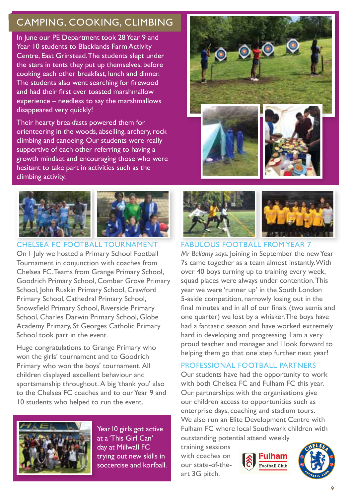# CAMPING, COOKING, CLIMBING

In June our PE Department took 28 Year 9 and Year 10 students to Blacklands Farm Activity Centre, East Grinstead. The students slept under the stars in tents they put up themselves, before cooking each other breakfast, lunch and dinner. The students also went searching for firewood and had their first ever toasted marshmallow experience – needless to say the marshmallows disappeared very quickly!

Their hearty breakfasts powered them for orienteering in the woods, abseiling, archery, rock climbing and canoeing. Our students were really supportive of each other referring to having a growth mindset and encouraging those who were hesitant to take part in activities such as the climbing activity.



CHELSEA FC FOOTBALL TOURNAMENT On 1 July we hosted a Primary School Football Tournament in conjunction with coaches from Chelsea FC. Teams from Grange Primary School, Goodrich Primary School, Comber Grove Primary School, John Ruskin Primary School, Crawford Primary School, Cathedral Primary School, Snowsfield Primary School, Riverside Primary School, Charles Darwin Primary School, Globe Academy Primary, St Georges Catholic Primary School took part in the event.

Huge congratulations to Grange Primary who won the girls' tournament and to Goodrich Primary who won the boys' tournament. All children displayed excellent behaviour and sportsmanship throughout. A big 'thank you' also to the Chelsea FC coaches and to our Year 9 and 10 students who helped to run the event.



Year 10 girls got active at a 'This Girl Can' day at Millwall FC trying out new skills in soccercise and korfball.





#### FABULOUS FOOTBALL FROM YEAR 7

*Mr Bellamy says:* Joining in September the new Year 7s came together as a team almost instantly. With over 40 boys turning up to training every week, squad places were always under contention. This year we were 'runner up' in the South London 5-aside competition, narrowly losing out in the final minutes and in all of our finals (two semis and one quarter) we lost by a whisker. The boys have had a fantastic season and have worked extremely hard in developing and progressing. I am a very proud teacher and manager and I look forward to helping them go that one step further next year!

#### PROFESSIONAL FOOTBALL PARTNERS

Our students have had the opportunity to work with both Chelsea FC and Fulham FC this year. Our partnerships with the organisations give our children access to opportunities such as enterprise days, coaching and stadium tours. We also run an Elite Development Centre with Fulham FC where local Southwark children with outstanding potential attend weekly

training sessions with coaches on our state-of-theart 3G pitch.



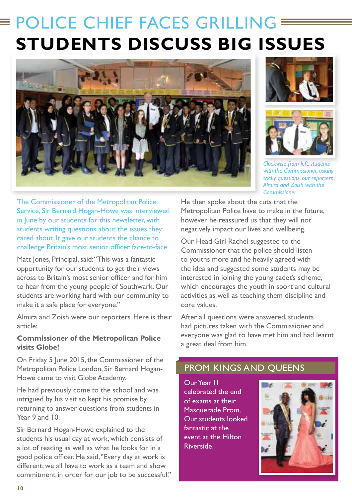# **POLICE CHIEF FACES GRILLING E STUDENTS DISCUSS BIG ISSUES**







*Clockwise from left: students with the Commissioner, asking tricky questions, our reporters Almira and Zoish with the Commissioner.*

The Commissioner of the Metropolitan Police Service, Sir Bernard Hogan-Howe was interviewed in lune by our students for this newsletter, with students writing questions about the issues they cared about. It gave our students the chance to challenge Britain's most senior officer face-to-face.

Matt Jones, Principal, said: "This was a fantastic opportunity for our students to get their views across to Britain's most senior officer and for him to hear from the young people of Southwark. Our students are working hard with our community to make it a safe place for everyone."

Almira and Zoish were our reporters. Here is their article:

### **Commissioner of the Metropolitan Police visits Globe!**

On Friday 5 June 2015, the Commissioner of the Metropolitan Police London, Sir Bernard Hogan-Howe came to visit Globe Academy.

He had previously come to the school and was intrigued by his visit so kept his promise by returning to answer questions from students in Year 9 and 10.

Sir Bernard Hogan-Howe explained to the students his usual day at work, which consists of a lot of reading as well as what he looks for in a good police officer. He said, ''Every day at work is different; we all have to work as a team and show commitment in order for our job to be successful.'' He then spoke about the cuts that the Metropolitan Police have to make in the future, however he reassured us that they will not negatively impact our lives and wellbeing.

Our Head Girl Rachel suggested to the Commissioner that the police should listen to youths more and he heavily agreed with the idea and suggested some students may be interested in joining the young cadet's scheme, which encourages the youth in sport and cultural activities as well as teaching them discipline and core values.

After all questions were answered, students had pictures taken with the Commissioner and everyone was glad to have met him and had learnt a great deal from him.

# PROM KINGS AND QUEENS

Our Year 11 celebrated the end of exams at their Masquerade Prom. Our students looked fantastic at the event at the Hilton Riverside.

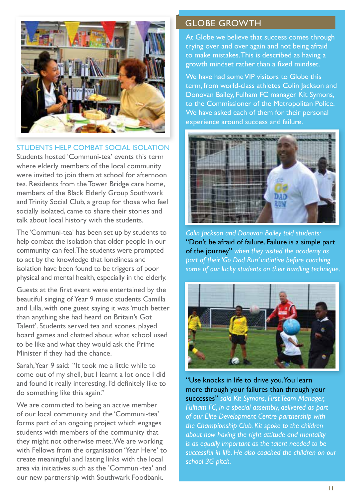

STUDENTS HELP COMBAT SOCIAL ISOLATION

Students hosted 'Communi-tea' events this term where elderly members of the local community were invited to join them at school for afternoon tea. Residents from the Tower Bridge care home, members of the Black Elderly Group Southwark and Trinity Social Club, a group for those who feel socially isolated, came to share their stories and talk about local history with the students.

The 'Communi-tea' has been set up by students to help combat the isolation that older people in our community can feel. The students were prompted to act by the knowledge that loneliness and isolation have been found to be triggers of poor physical and mental health, especially in the elderly.

Guests at the first event were entertained by the beautiful singing of Year 9 music students Camilla and Lilla, with one guest saying it was 'much better than anything she had heard on Britain's Got Talent'. Students served tea and scones, played board games and chatted about what school used to be like and what they would ask the Prime Minister if they had the chance.

Sarah, Year 9 said: "It took me a little while to come out of my shell, but I learnt a lot once I did and found it really interesting. I'd definitely like to do something like this again."

We are committed to being an active member of our local community and the 'Communi-tea' forms part of an ongoing project which engages students with members of the community that they might not otherwise meet. We are working with Fellows from the organisation 'Year Here' to create meaningful and lasting links with the local area via initiatives such as the 'Communi-tea' and our new partnership with Southwark Foodbank.

## GLOBE GROWTH

At Globe we believe that success comes through trying over and over again and not being afraid to make mistakes. This is described as having a growth mindset rather than a fixed mindset.

We have had some VIP visitors to Globe this term, from world-class athletes Colin Jackson and Donovan Bailey, Fulham FC manager Kit Symons, to the Commissioner of the Metropolitan Police. We have asked each of them for their personal experience around success and failure.



*Colin Jackson and Donovan Bailey told students:*  "Don't be afraid of failure. Failure is a simple part of the journey" *when they visited the academy as part of their 'Go Dad Run' initiative before coaching some of our lucky students on their hurdling technique.*



"Use knocks in life to drive you. You learn more through your failures than through your successes" *said Kit Symons, First Team Manager, Fulham FC, in a special assembly, delivered as part of our Elite Development Centre partnership with the Championship Club. Kit spoke to the children about how having the right attitude and mentality is as equally important as the talent needed to be successful in life. He also coached the children on our school 3G pitch.*